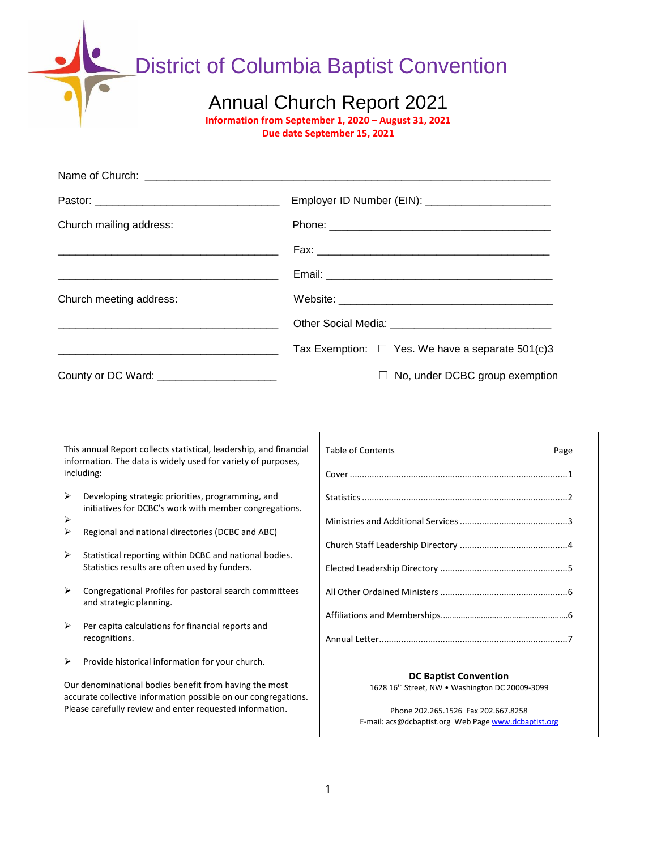District of Columbia Baptist Convention

### Annual Church Report 2021

**Information from September 1, 2020 – August 31, 2021**

**Due date September 15, 2021**

| Church mailing address:                                                                                               |                                                       |
|-----------------------------------------------------------------------------------------------------------------------|-------------------------------------------------------|
|                                                                                                                       |                                                       |
|                                                                                                                       |                                                       |
| Church meeting address:                                                                                               |                                                       |
|                                                                                                                       |                                                       |
| <u> 1989 - Johann Harry Harry Harry Harry Harry Harry Harry Harry Harry Harry Harry Harry Harry Harry Harry Harry</u> | Tax Exemption: $\Box$ Yes. We have a separate 501(c)3 |
| County or DC Ward: _______________________                                                                            | $\Box$ No, under DCBC group exemption                 |

|                                                                                                                          | This annual Report collects statistical, leadership, and financial<br>information. The data is widely used for variety of purposes,<br>including: | <b>Table of Contents</b><br>Page                                                            |
|--------------------------------------------------------------------------------------------------------------------------|---------------------------------------------------------------------------------------------------------------------------------------------------|---------------------------------------------------------------------------------------------|
| ➤<br>⋗                                                                                                                   | Developing strategic priorities, programming, and<br>initiatives for DCBC's work with member congregations.                                       |                                                                                             |
| ⋗                                                                                                                        | Regional and national directories (DCBC and ABC)                                                                                                  |                                                                                             |
| ≻                                                                                                                        | Statistical reporting within DCBC and national bodies.<br>Statistics results are often used by funders.                                           |                                                                                             |
| ➤                                                                                                                        | Congregational Profiles for pastoral search committees<br>and strategic planning.                                                                 |                                                                                             |
| ➤                                                                                                                        | Per capita calculations for financial reports and<br>recognitions.                                                                                |                                                                                             |
| ≻                                                                                                                        | Provide historical information for your church.                                                                                                   |                                                                                             |
| Our denominational bodies benefit from having the most<br>accurate collective information possible on our congregations. |                                                                                                                                                   | <b>DC Baptist Convention</b><br>1628 16th Street, NW . Washington DC 20009-3099             |
|                                                                                                                          | Please carefully review and enter requested information.                                                                                          | Phone 202.265.1526 Fax 202.667.8258<br>E-mail: acs@dcbaptist.org Web Page www.dcbaptist.org |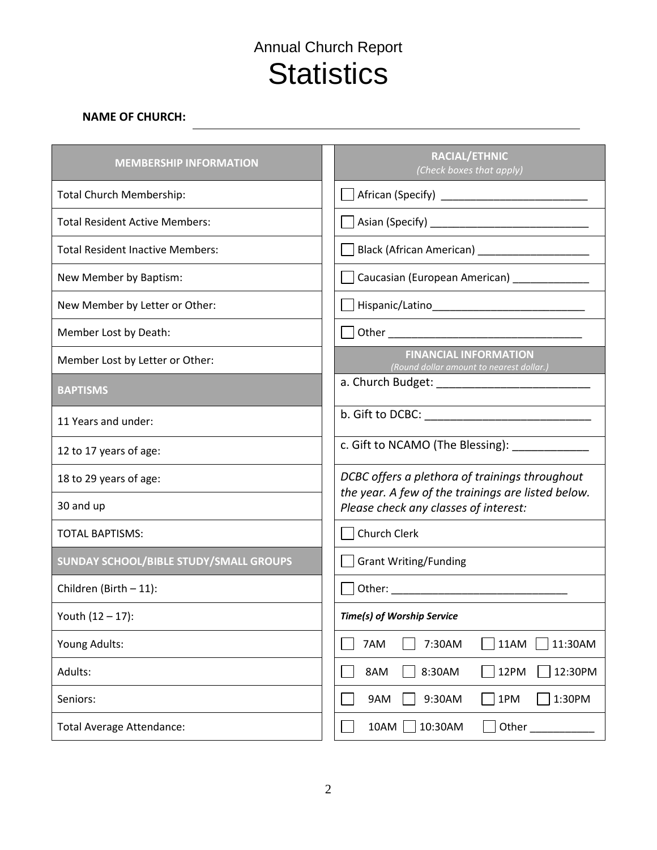# Annual Church Report **Statistics**

### **NAME OF CHURCH:**

| <b>MEMBERSHIP INFORMATION</b>           | RACIAL/ETHNIC<br>(Check boxes that apply)                                                                    |
|-----------------------------------------|--------------------------------------------------------------------------------------------------------------|
| <b>Total Church Membership:</b>         |                                                                                                              |
| <b>Total Resident Active Members:</b>   |                                                                                                              |
| <b>Total Resident Inactive Members:</b> | Black (African American) ______________________                                                              |
| New Member by Baptism:                  | <u>Saucasian (European American)</u> Saucenter Caucasian (European American)                                 |
| New Member by Letter or Other:          | Hispanic/Latino   Hispanic / Latino   Hispanic / Latino   Hispanic / Latino   Hispanic / Latino   Hispanic / |
| Member Lost by Death:                   |                                                                                                              |
| Member Lost by Letter or Other:         | <b>FINANCIAL INFORMATION</b><br>(Round dollar amount to nearest dollar.)                                     |
| <b>BAPTISMS</b>                         |                                                                                                              |
| 11 Years and under:                     |                                                                                                              |
| 12 to 17 years of age:                  | c. Gift to NCAMO (The Blessing): ____________                                                                |
| 18 to 29 years of age:                  | DCBC offers a plethora of trainings throughout                                                               |
| 30 and up                               | the year. A few of the trainings are listed below.<br>Please check any classes of interest:                  |
| <b>TOTAL BAPTISMS:</b>                  | Church Clerk                                                                                                 |
| SUNDAY SCHOOL/BIBLE STUDY/SMALL GROUPS  | <b>Grant Writing/Funding</b>                                                                                 |
| Children (Birth - 11):                  |                                                                                                              |
| Youth $(12 - 17)$ :                     | <b>Time(s) of Worship Service</b>                                                                            |
| Young Adults:                           | 7AM<br>11AM<br>11:30AM<br>7:30AM                                                                             |
| Adults:                                 | 8AM<br>8:30AM<br>12PM<br>12:30PM                                                                             |
| Seniors:                                | 1:30PM<br>9AM<br>9:30AM<br>1PM                                                                               |
| <b>Total Average Attendance:</b>        | 10AM<br>10:30AM<br>Other                                                                                     |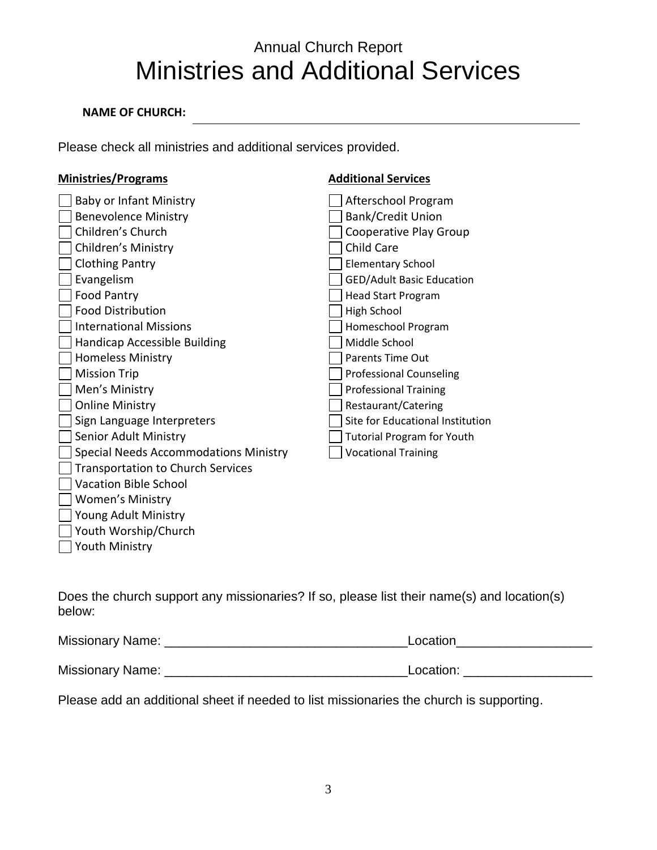# Annual Church Report Ministries and Additional Services

### **NAME OF CHURCH:**

Please check all ministries and additional services provided.

| <b>Ministries/Programs</b>                   | <b>Additional Services</b>        |
|----------------------------------------------|-----------------------------------|
| <b>Baby or Infant Ministry</b>               | Afterschool Program               |
| <b>Benevolence Ministry</b>                  | <b>Bank/Credit Union</b>          |
| Children's Church                            | Cooperative Play Group            |
| Children's Ministry                          | <b>Child Care</b>                 |
| <b>Clothing Pantry</b>                       | <b>Elementary School</b>          |
| Evangelism                                   | <b>GED/Adult Basic Education</b>  |
| Food Pantry                                  | <b>Head Start Program</b>         |
| <b>Food Distribution</b>                     | High School                       |
| <b>International Missions</b>                | Homeschool Program                |
| <b>Handicap Accessible Building</b>          | Middle School                     |
| <b>Homeless Ministry</b>                     | <b>Parents Time Out</b>           |
| <b>Mission Trip</b>                          | <b>Professional Counseling</b>    |
| Men's Ministry                               | <b>Professional Training</b>      |
| <b>Online Ministry</b>                       | Restaurant/Catering               |
| Sign Language Interpreters                   | Site for Educational Institution  |
| Senior Adult Ministry                        | <b>Tutorial Program for Youth</b> |
| <b>Special Needs Accommodations Ministry</b> | <b>Vocational Training</b>        |
| <b>Transportation to Church Services</b>     |                                   |
| <b>Vacation Bible School</b>                 |                                   |
| <b>Women's Ministry</b>                      |                                   |
| Young Adult Ministry                         |                                   |
| Youth Worship/Church                         |                                   |
| <b>Youth Ministry</b>                        |                                   |
|                                              |                                   |

Does the church support any missionaries? If so, please list their name(s) and location(s) below:

| Missionary Name: | Location  |
|------------------|-----------|
|                  |           |
| Missionary Name: | Location: |

Please add an additional sheet if needed to list missionaries the church is supporting.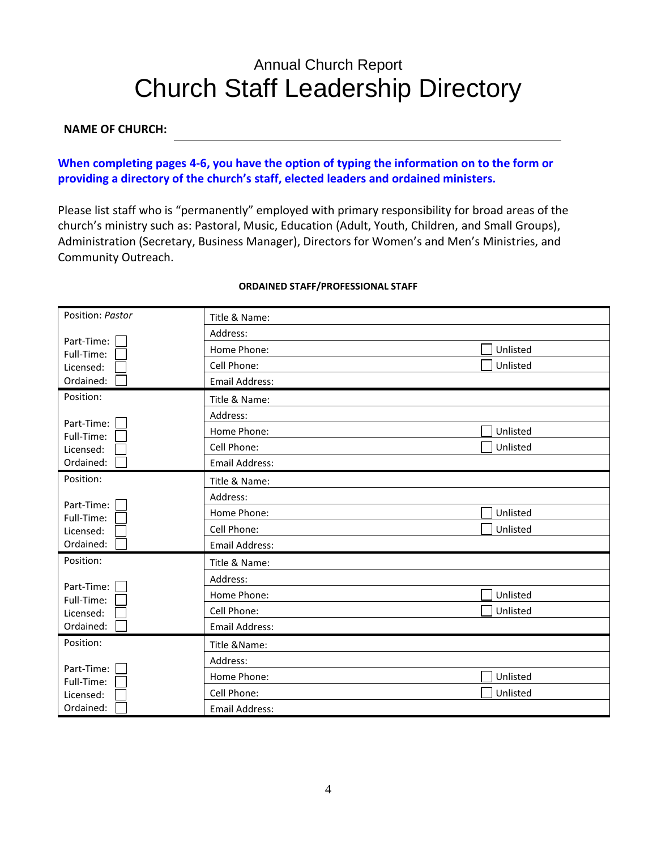# Annual Church Report Church Staff Leadership Directory

#### **NAME OF CHURCH:**

### **When completing pages 4-6, you have the option of typing the information on to the form or providing a directory of the church's staff, elected leaders and ordained ministers.**

Please list staff who is "permanently" employed with primary responsibility for broad areas of the church's ministry such as: Pastoral, Music, Education (Adult, Youth, Children, and Small Groups), Administration (Secretary, Business Manager), Directors for Women's and Men's Ministries, and Community Outreach.

| Position: Pastor         | Title & Name:         |          |
|--------------------------|-----------------------|----------|
|                          | Address:              |          |
| Part-Time:<br>Full-Time: | Home Phone:           | Unlisted |
| Licensed:                | Cell Phone:           | Unlisted |
| Ordained:                | Email Address:        |          |
| Position:                | Title & Name:         |          |
|                          | Address:              |          |
| Part-Time:<br>Full-Time: | Home Phone:           | Unlisted |
| Licensed:                | Cell Phone:           | Unlisted |
| Ordained:                | <b>Email Address:</b> |          |
| Position:                | Title & Name:         |          |
| Part-Time:               | Address:              |          |
| Full-Time:               | Home Phone:           | Unlisted |
| Licensed:                | Cell Phone:           | Unlisted |
| Ordained:                | Email Address:        |          |
| Position:                | Title & Name:         |          |
| Part-Time:               | Address:              |          |
| Full-Time:               | Home Phone:           | Unlisted |
| Licensed:                | Cell Phone:           | Unlisted |
| Ordained:                | Email Address:        |          |
| Position:                | Title & Name:         |          |
| Part-Time:               | Address:              |          |
| Full-Time:               | Home Phone:           | Unlisted |
| Licensed:                | Cell Phone:           | Unlisted |
| Ordained:                | Email Address:        |          |

#### **ORDAINED STAFF/PROFESSIONAL STAFF**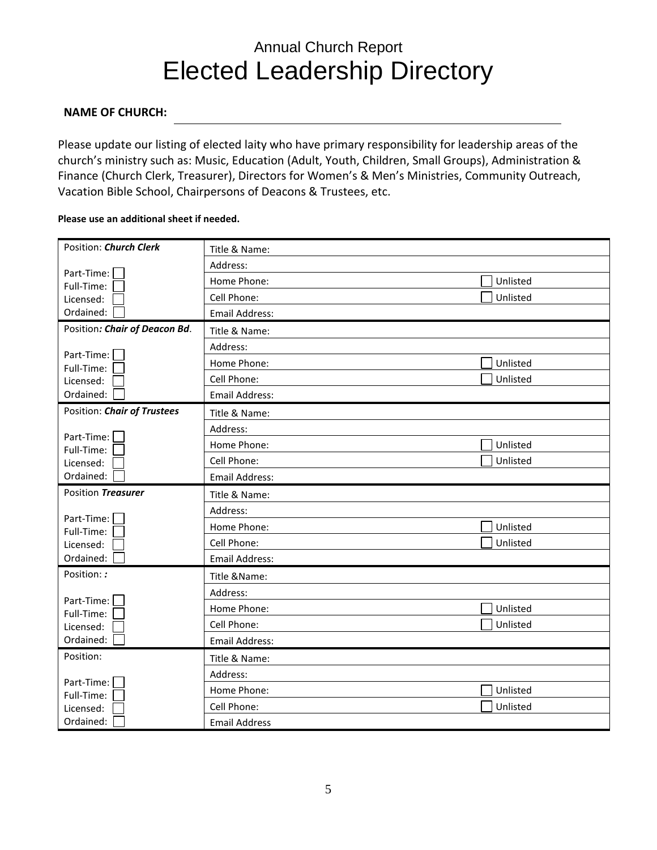# Annual Church Report Elected Leadership Directory

### **NAME OF CHURCH:**

Please update our listing of elected laity who have primary responsibility for leadership areas of the church's ministry such as: Music, Education (Adult, Youth, Children, Small Groups), Administration & Finance (Church Clerk, Treasurer), Directors for Women's & Men's Ministries, Community Outreach, Vacation Bible School, Chairpersons of Deacons & Trustees, etc.

#### **Please use an additional sheet if needed.**

| Position: Church Clerk        | Title & Name:         |          |
|-------------------------------|-----------------------|----------|
|                               | Address:              |          |
| Part-Time:<br>Full-Time:      | Home Phone:           | Unlisted |
| Licensed:                     | Cell Phone:           | Unlisted |
| Ordained:                     | <b>Email Address:</b> |          |
| Position: Chair of Deacon Bd. | Title & Name:         |          |
|                               | Address:              |          |
| Part-Time:<br>Full-Time:      | Home Phone:           | Unlisted |
| Licensed:                     | Cell Phone:           | Unlisted |
| Ordained:                     | <b>Email Address:</b> |          |
| Position: Chair of Trustees   | Title & Name:         |          |
|                               | Address:              |          |
| Part-Time:<br>Full-Time:      | Home Phone:           | Unlisted |
| Licensed:                     | Cell Phone:           | Unlisted |
| Ordained:                     | <b>Email Address:</b> |          |
|                               |                       |          |
| Position Treasurer            | Title & Name:         |          |
|                               | Address:              |          |
| Part-Time:                    | Home Phone:           | Unlisted |
| Full-Time:                    | Cell Phone:           | Unlisted |
| Licensed:<br>Ordained:        | <b>Email Address:</b> |          |
| Position: :                   | Title &Name:          |          |
|                               | Address:              |          |
| Part-Time:                    | Home Phone:           | Unlisted |
| Full-Time:                    | Cell Phone:           | Unlisted |
| Licensed:<br>Ordained:        | <b>Email Address:</b> |          |
| Position:                     | Title & Name:         |          |
|                               | Address:              |          |
| Part-Time:                    | Home Phone:           | Unlisted |
| Full-Time:<br>Licensed:       | Cell Phone:           | Unlisted |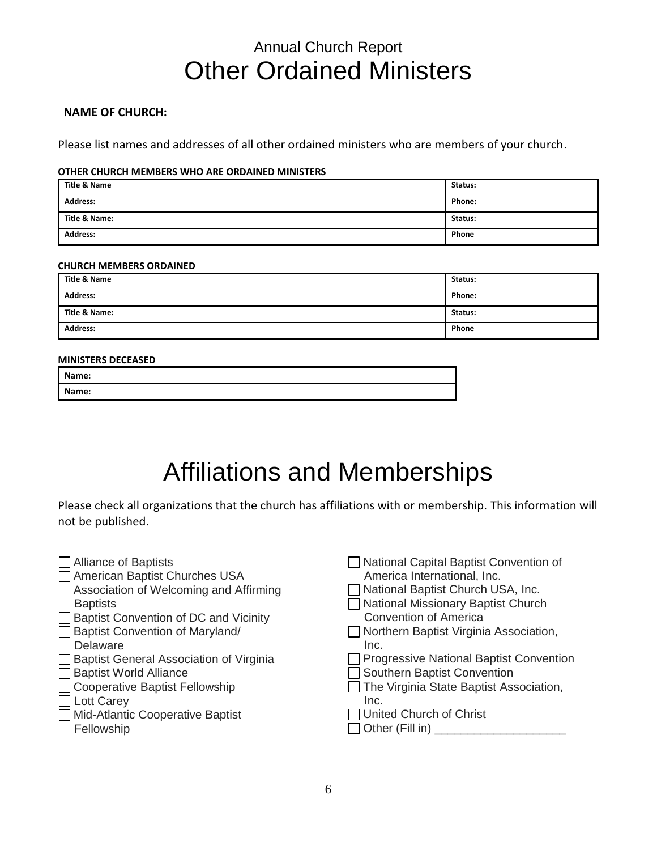## Annual Church Report Other Ordained Ministers

#### **NAME OF CHURCH:**

Please list names and addresses of all other ordained ministers who are members of your church.

#### **OTHER CHURCH MEMBERS WHO ARE ORDAINED MINISTERS**

| Title & Name    | Status: |
|-----------------|---------|
| <b>Address:</b> | Phone:  |
| Title & Name:   | Status: |
| <b>Address:</b> | Phone   |

#### **CHURCH MEMBERS ORDAINED**

| <b>Title &amp; Name</b> | Status: |
|-------------------------|---------|
| <b>Address:</b>         | Phone:  |
| Title & Name:           | Status: |
| <b>Address:</b>         | Phone   |

#### **MINISTERS DECEASED**

| Name: |  |
|-------|--|
| Name: |  |
|       |  |

# Affiliations and Memberships

Please check all organizations that the church has affiliations with or membership. This information will not be published.

| <b>Alliance of Baptists</b>             | National Capital Baptist Convention of  |
|-----------------------------------------|-----------------------------------------|
| American Baptist Churches USA           | America International, Inc.             |
| Association of Welcoming and Affirming  | National Baptist Church USA, Inc.       |
| <b>Baptists</b>                         | National Missionary Baptist Church      |
| Baptist Convention of DC and Vicinity   | <b>Convention of America</b>            |
| Baptist Convention of Maryland/         | Northern Baptist Virginia Association,  |
| Delaware                                | Inc.                                    |
| Baptist General Association of Virginia | Progressive National Baptist Convention |
| <b>Baptist World Alliance</b>           | Southern Baptist Convention             |
| <b>Cooperative Baptist Fellowship</b>   | The Virginia State Baptist Association, |
| Lott Carey                              | Inc.                                    |
| <b>Mid-Atlantic Cooperative Baptist</b> | United Church of Christ                 |
| Fellowship                              | $\Box$ Other (Fill in) $\_$             |